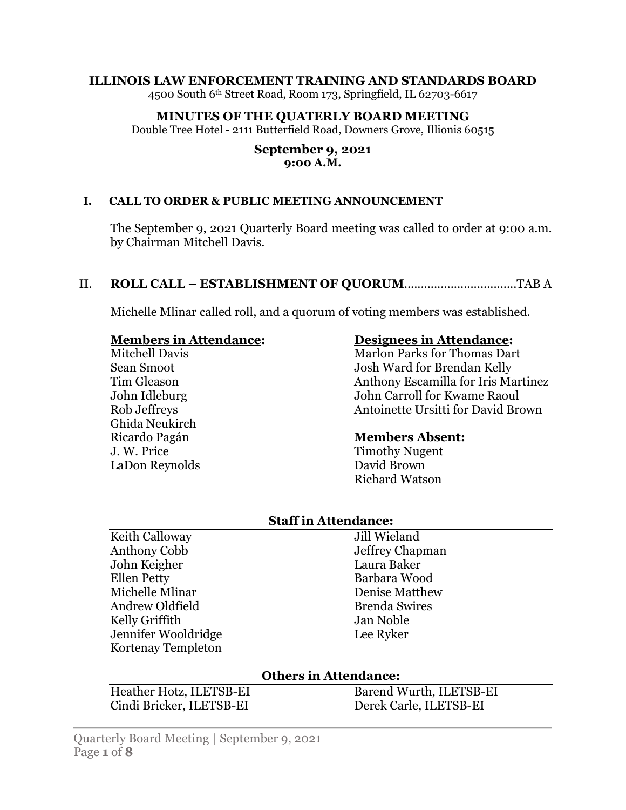#### **ILLINOIS LAW ENFORCEMENT TRAINING AND STANDARDS BOARD**

4500 South 6th Street Road, Room 173, Springfield, IL 62703-6617

#### **MINUTES OF THE QUATERLY BOARD MEETING**

Double Tree Hotel - 2111 Butterfield Road, Downers Grove, Illionis 60515

#### **September 9, 2021 9:00 A.M.**

#### **I. CALL TO ORDER & PUBLIC MEETING ANNOUNCEMENT**

The September 9, 2021 Quarterly Board meeting was called to order at 9:00 a.m. by Chairman Mitchell Davis.

#### II. **ROLL CALL – ESTABLISHMENT OF QUORUM**..................................TAB A

Michelle Mlinar called roll, and a quorum of voting members was established.

#### **Members in Attendance:**

Mitchell Davis Sean Smoot Tim Gleason John Idleburg Rob Jeffreys Ghida Neukirch Ricardo Pagán J. W. Price LaDon Reynolds

### **Designees in Attendance:**

Marlon Parks for Thomas Dart Josh Ward for Brendan Kelly Anthony Escamilla for Iris Martinez John Carroll for Kwame Raoul Antoinette Ursitti for David Brown

#### **Members Absent:**

Timothy Nugent David Brown Richard Watson

## **Staff in Attendance:**

Keith Calloway Anthony Cobb John Keigher Ellen Petty Michelle Mlinar Andrew Oldfield Kelly Griffith Jennifer Wooldridge Kortenay Templeton

Jill Wieland Jeffrey Chapman Laura Baker Barbara Wood Denise Matthew Brenda Swires Jan Noble Lee Ryker

#### **Others in Attendance:**

Heather Hotz, ILETSB-EI Cindi Bricker, ILETSB-EI

Barend Wurth, ILETSB-EI Derek Carle, ILETSB-EI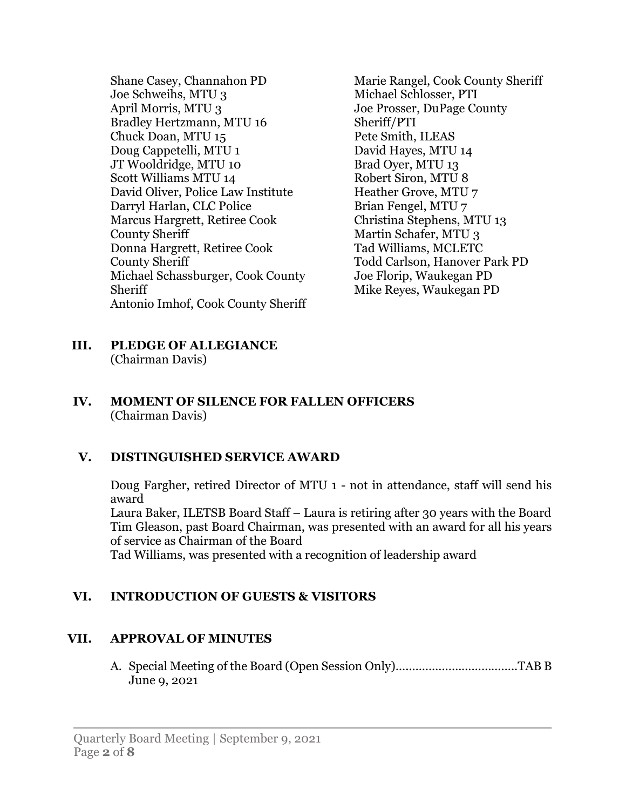Shane Casey, Channahon PD Joe Schweihs, MTU 3 April Morris, MTU 3 Bradley Hertzmann, MTU 16 Chuck Doan, MTU 15 Doug Cappetelli, MTU 1 JT Wooldridge, MTU 10 Scott Williams MTU 14 David Oliver, Police Law Institute Darryl Harlan, CLC Police Marcus Hargrett, Retiree Cook County Sheriff Donna Hargrett, Retiree Cook County Sheriff Michael Schassburger, Cook County Sheriff Antonio Imhof, Cook County Sheriff Marie Rangel, Cook County Sheriff Michael Schlosser, PTI Joe Prosser, DuPage County Sheriff/PTI Pete Smith, ILEAS David Hayes, MTU 14 Brad Oyer, MTU 13 Robert Siron, MTU 8 Heather Grove, MTU 7 Brian Fengel, MTU 7 Christina Stephens, MTU 13 Martin Schafer, MTU 3 Tad Williams, MCLETC Todd Carlson, Hanover Park PD Joe Florip, Waukegan PD Mike Reyes, Waukegan PD

**III. PLEDGE OF ALLEGIANCE** (Chairman Davis)

### **IV. MOMENT OF SILENCE FOR FALLEN OFFICERS** (Chairman Davis)

# **V. DISTINGUISHED SERVICE AWARD**

Doug Fargher, retired Director of MTU 1 - not in attendance, staff will send his award

Laura Baker, ILETSB Board Staff – Laura is retiring after 30 years with the Board Tim Gleason, past Board Chairman, was presented with an award for all his years of service as Chairman of the Board

Tad Williams, was presented with a recognition of leadership award

# **VI. INTRODUCTION OF GUESTS & VISITORS**

# **VII. APPROVAL OF MINUTES**

A. Special Meeting of the Board (Open Session Only)…..…………………………..TAB B June 9, 2021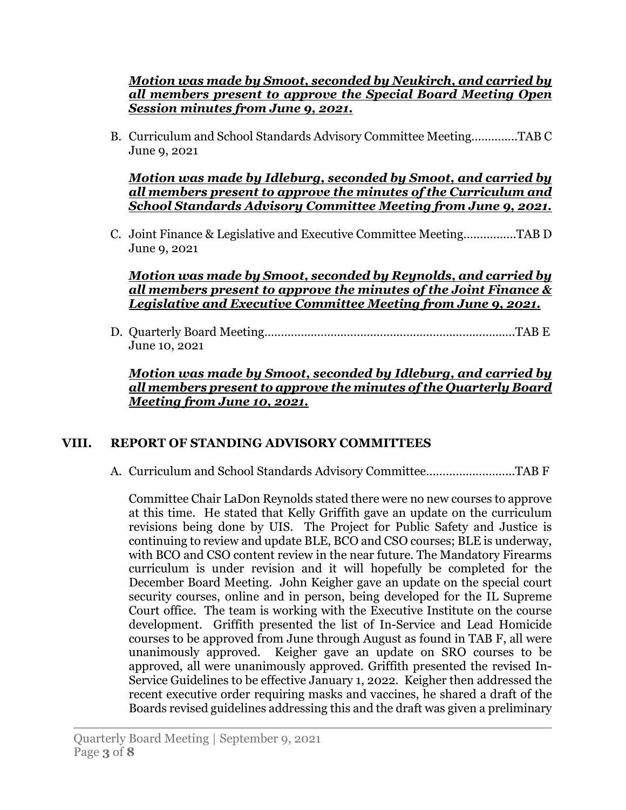## *Motion was made by Smoot, seconded by Neukirch, and carried by all members present to approve the Special Board Meeting Open Session minutes from June 9, 2021.*

B. Curriculum and School Standards Advisory Committee Meeting…………..TAB C June 9, 2021

*Motion was made by Idleburg, seconded by Smoot, and carried by all members present to approve the minutes of the Curriculum and School Standards Advisory Committee Meeting from June 9, 2021.*

C. Joint Finance & Legislative and Executive Committee Meeting…..………..TAB D June 9, 2021

### *Motion was made by Smoot, seconded by Reynolds, and carried by all members present to approve the minutes of the Joint Finance & Legislative and Executive Committee Meeting from June 9, 2021.*

D. Quarterly Board Meeting………………………………………………………………….TAB E June 10, 2021

*Motion was made by Smoot, seconded by Idleburg, and carried by all members present to approve the minutes of the Quarterly Board Meeting from June 10, 2021.*

## **VIII. REPORT OF STANDING ADVISORY COMMITTEES**

A. Curriculum and School Standards Advisory Committee……………………...TAB F

Committee Chair LaDon Reynolds stated there were no new courses to approve at this time. He stated that Kelly Griffith gave an update on the curriculum revisions being done by UIS. The Project for Public Safety and Justice is continuing to review and update BLE, BCO and CSO courses; BLE is underway, with BCO and CSO content review in the near future. The Mandatory Firearms curriculum is under revision and it will hopefully be completed for the December Board Meeting. John Keigher gave an update on the special court security courses, online and in person, being developed for the IL Supreme Court office. The team is working with the Executive Institute on the course development. Griffith presented the list of In-Service and Lead Homicide courses to be approved from June through August as found in TAB F, all were unanimously approved. Keigher gave an update on SRO courses to be approved, all were unanimously approved. Griffith presented the revised In-Service Guidelines to be effective January 1, 2022. Keigher then addressed the recent executive order requiring masks and vaccines, he shared a draft of the Boards revised guidelines addressing this and the draft was given a preliminary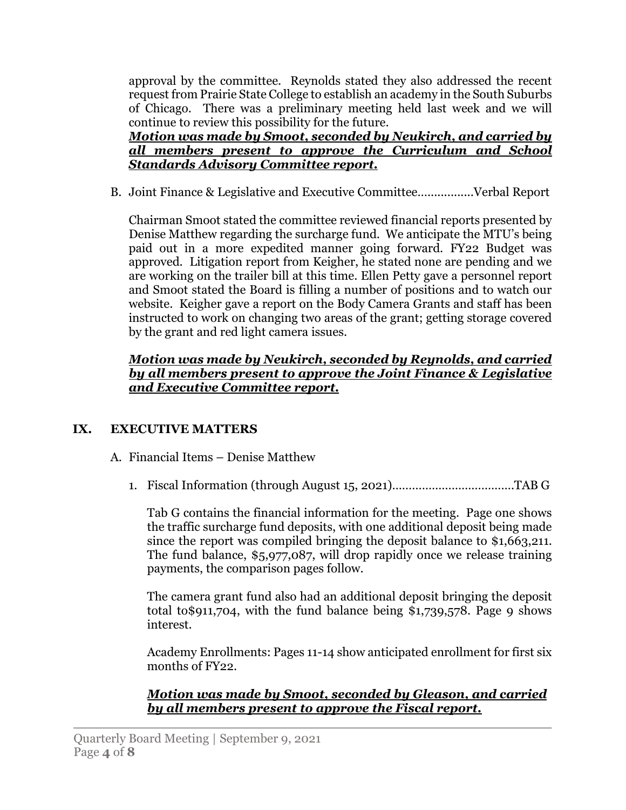approval by the committee. Reynolds stated they also addressed the recent request from Prairie State College to establish an academy in the South Suburbs of Chicago. There was a preliminary meeting held last week and we will continue to review this possibility for the future.

*Motion was made by Smoot, seconded by Neukirch, and carried by all members present to approve the Curriculum and School Standards Advisory Committee report.*

B. Joint Finance & Legislative and Executive Committee…..............Verbal Report

Chairman Smoot stated the committee reviewed financial reports presented by Denise Matthew regarding the surcharge fund. We anticipate the MTU's being paid out in a more expedited manner going forward. FY22 Budget was approved. Litigation report from Keigher, he stated none are pending and we are working on the trailer bill at this time. Ellen Petty gave a personnel report and Smoot stated the Board is filling a number of positions and to watch our website. Keigher gave a report on the Body Camera Grants and staff has been instructed to work on changing two areas of the grant; getting storage covered by the grant and red light camera issues.

## *Motion was made by Neukirch, seconded by Reynolds, and carried by all members present to approve the Joint Finance & Legislative and Executive Committee report.*

# **IX. EXECUTIVE MATTERS**

- A. Financial Items Denise Matthew
	- 1. Fiscal Information (through August 15, 2021)……………………………….TAB G

Tab G contains the financial information for the meeting. Page one shows the traffic surcharge fund deposits, with one additional deposit being made since the report was compiled bringing the deposit balance to \$1,663,211. The fund balance, \$5,977,087, will drop rapidly once we release training payments, the comparison pages follow.

The camera grant fund also had an additional deposit bringing the deposit total to\$911,704, with the fund balance being \$1,739,578. Page 9 shows interest.

Academy Enrollments: Pages 11-14 show anticipated enrollment for first six months of FY22.

*Motion was made by Smoot, seconded by Gleason, and carried by all members present to approve the Fiscal report.*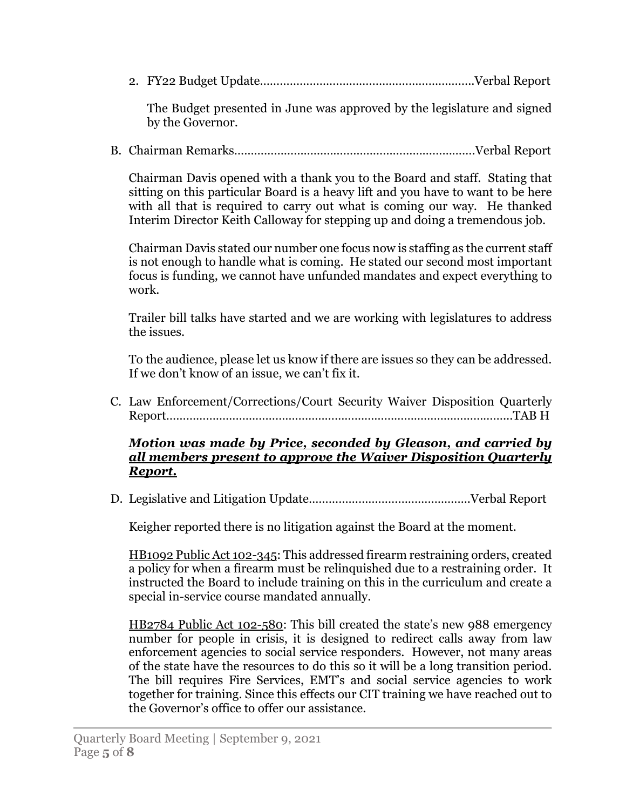2. FY22 Budget Update………………………………………………………..Verbal Report

The Budget presented in June was approved by the legislature and signed by the Governor.

B. Chairman Remarks……………………………………………………………….Verbal Report

Chairman Davis opened with a thank you to the Board and staff. Stating that sitting on this particular Board is a heavy lift and you have to want to be here with all that is required to carry out what is coming our way. He thanked Interim Director Keith Calloway for stepping up and doing a tremendous job.

Chairman Davis stated our number one focus now is staffing as the current staff is not enough to handle what is coming. He stated our second most important focus is funding, we cannot have unfunded mandates and expect everything to work.

Trailer bill talks have started and we are working with legislatures to address the issues.

To the audience, please let us know if there are issues so they can be addressed. If we don't know of an issue, we can't fix it.

C. Law Enforcement/Corrections/Court Security Waiver Disposition Quarterly Report…………………………………………………………………………………………...TAB H

### *Motion was made by Price, seconded by Gleason, and carried by all members present to approve the Waiver Disposition Quarterly Report.*

D. Legislative and Litigation Update………………………………………….Verbal Report

Keigher reported there is no litigation against the Board at the moment.

HB1092 Public Act 102-345: This addressed firearm restraining orders, created a policy for when a firearm must be relinquished due to a restraining order. It instructed the Board to include training on this in the curriculum and create a special in-service course mandated annually.

HB2784 Public Act 102-580: This bill created the state's new 988 emergency number for people in crisis, it is designed to redirect calls away from law enforcement agencies to social service responders. However, not many areas of the state have the resources to do this so it will be a long transition period. The bill requires Fire Services, EMT's and social service agencies to work together for training. Since this effects our CIT training we have reached out to the Governor's office to offer our assistance.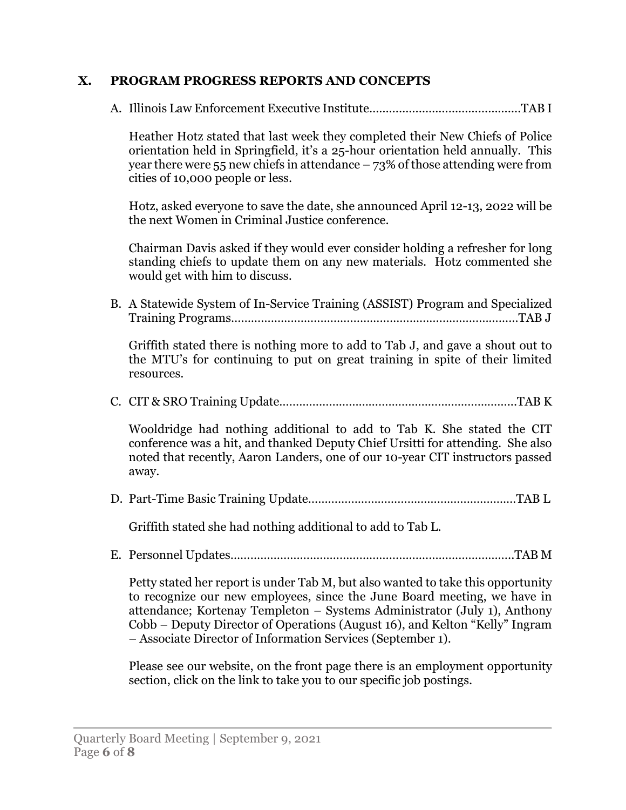## **X. PROGRAM PROGRESS REPORTS AND CONCEPTS**

A. Illinois Law Enforcement Executive Institute……………………………………….TAB I

Heather Hotz stated that last week they completed their New Chiefs of Police orientation held in Springfield, it's a 25-hour orientation held annually. This year there were 55 new chiefs in attendance  $-73\%$  of those attending were from cities of 10,000 people or less.

Hotz, asked everyone to save the date, she announced April 12-13, 2022 will be the next Women in Criminal Justice conference.

Chairman Davis asked if they would ever consider holding a refresher for long standing chiefs to update them on any new materials. Hotz commented she would get with him to discuss.

B. A Statewide System of In-Service Training (ASSIST) Program and Specialized Training Programs……………………………………………………………………………TAB J

Griffith stated there is nothing more to add to Tab J, and gave a shout out to the MTU's for continuing to put on great training in spite of their limited resources.

C. CIT & SRO Training Update……………………………………………………………...TAB K

Wooldridge had nothing additional to add to Tab K. She stated the CIT conference was a hit, and thanked Deputy Chief Ursitti for attending. She also noted that recently, Aaron Landers, one of our 10-year CIT instructors passed away.

D. Part-Time Basic Training Update………………………………………………………TAB L

Griffith stated she had nothing additional to add to Tab L.

E. Personnel Updates…………………………………………………………………………..TAB M

Petty stated her report is under Tab M, but also wanted to take this opportunity to recognize our new employees, since the June Board meeting, we have in attendance; Kortenay Templeton – Systems Administrator (July 1), Anthony Cobb – Deputy Director of Operations (August 16), and Kelton "Kelly" Ingram – Associate Director of Information Services (September 1).

Please see our website, on the front page there is an employment opportunity section, click on the link to take you to our specific job postings.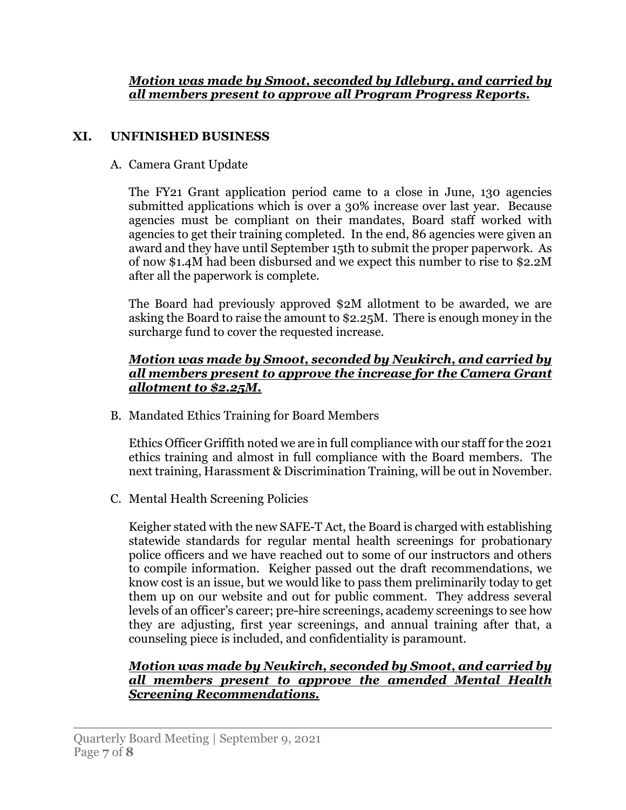*Motion was made by Smoot, seconded by Idleburg, and carried by all members present to approve all Program Progress Reports.*

# **XI. UNFINISHED BUSINESS**

## A. Camera Grant Update

The FY21 Grant application period came to a close in June, 130 agencies submitted applications which is over a 30% increase over last year. Because agencies must be compliant on their mandates, Board staff worked with agencies to get their training completed. In the end, 86 agencies were given an award and they have until September 15th to submit the proper paperwork. As of now \$1.4M had been disbursed and we expect this number to rise to \$2.2M after all the paperwork is complete.

The Board had previously approved \$2M allotment to be awarded, we are asking the Board to raise the amount to \$2.25M. There is enough money in the surcharge fund to cover the requested increase.

## *Motion was made by Smoot, seconded by Neukirch, and carried by all members present to approve the increase for the Camera Grant allotment to \$2.25M.*

B. Mandated Ethics Training for Board Members

Ethics Officer Griffith noted we are in full compliance with our staff for the 2021 ethics training and almost in full compliance with the Board members. The next training, Harassment & Discrimination Training, will be out in November.

C. Mental Health Screening Policies

Keigher stated with the new SAFE-T Act, the Board is charged with establishing statewide standards for regular mental health screenings for probationary police officers and we have reached out to some of our instructors and others to compile information. Keigher passed out the draft recommendations, we know cost is an issue, but we would like to pass them preliminarily today to get them up on our website and out for public comment. They address several levels of an officer's career; pre-hire screenings, academy screenings to see how they are adjusting, first year screenings, and annual training after that, a counseling piece is included, and confidentiality is paramount.

## *Motion was made by Neukirch, seconded by Smoot, and carried by all members present to approve the amended Mental Health Screening Recommendations.*